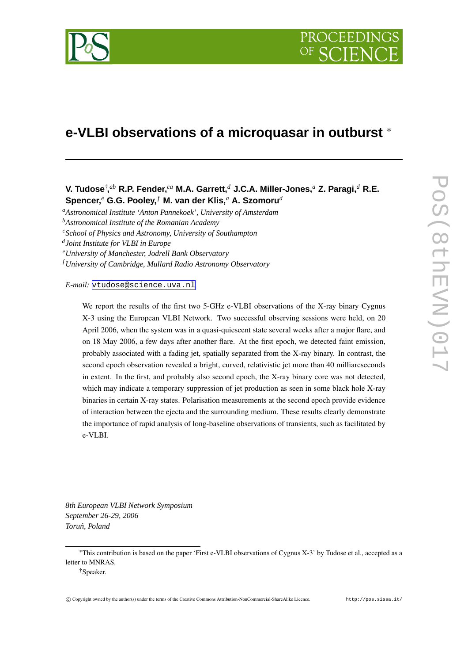

# **e-VLBI observations of a microquasar in outburst** <sup>∗</sup>

# **V. Tudose**† **,** *ab* **R.P. Fender,** *ca* **M.A. Garrett,***<sup>d</sup>* **J.C.A. Miller-Jones,***<sup>a</sup>* **Z. Paragi,***<sup>d</sup>* **R.E. Spencer,** *<sup>e</sup>* **G.G. Pooley,** *<sup>f</sup>* **M. van der Klis,***<sup>a</sup>* **A. Szomoru***<sup>d</sup>*

*<sup>a</sup>Astronomical Institute 'Anton Pannekoek', University of Amsterdam*

*<sup>b</sup>Astronomical Institute of the Romanian Academy*

*<sup>c</sup>School of Physics and Astronomy, University of Southampton*

*d Joint Institute for VLBI in Europe*

*<sup>e</sup>University of Manchester, Jodrell Bank Observatory*

*<sup>f</sup> University of Cambridge, Mullard Radio Astronomy Observatory*

*E-mail:* [vtudose@science.uva.nl](mailto:vtudose@science.uva.nl)

We report the results of the first two 5-GHz e-VLBI observations of the X-ray binary Cygnus X-3 using the European VLBI Network. Two successful observing sessions were held, on 20 April 2006, when the system was in a quasi-quiescent state several weeks after a major flare, and on 18 May 2006, a few days after another flare. At the first epoch, we detected faint emission, probably associated with a fading jet, spatially separated from the X-ray binary. In contrast, the second epoch observation revealed a bright, curved, relativistic jet more than 40 milliarcseconds in extent. In the first, and probably also second epoch, the X-ray binary core was not detected, which may indicate a temporary suppression of jet production as seen in some black hole X-ray binaries in certain X-ray states. Polarisation measurements at the second epoch provide evidence of interaction between the ejecta and the surrounding medium. These results clearly demonstrate the importance of rapid analysis of long-baseline observations of transients, such as facilitated by e-VLBI.

*8th European VLBI Network Symposium September 26-29, 2006 Torun,´ Poland*

<sup>∗</sup>This contribution is based on the paper 'First e-VLBI observations of Cygnus X-3' by Tudose et al., accepted as a letter to MNRAS.

<sup>†</sup>Speaker.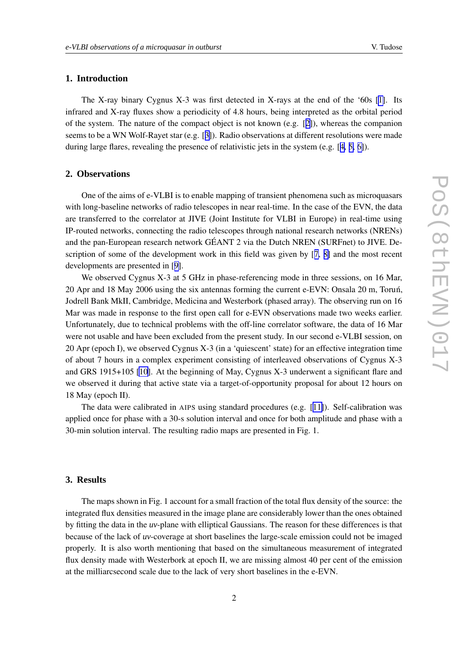## **1. Introduction**

The X-ray binary Cygnus X-3 was first detected in X-rays at the end of the '60s [\[1\]](#page-4-0). Its infrared and X-ray fluxes show a periodicity of 4.8 hours, being interpreted as the orbital period of the system. The nature of the compact object is not known (e.g.  $[2]$  $[2]$ ), whereas the companion seems to be a WN Wolf-Rayet star (e.g. [[3\]](#page-4-0)). Radio observations at different resolutions were made during large flares, revealing the presence of relativistic jets in the system (e.g. [[4,](#page-4-0) [5,](#page-4-0) [6\]](#page-4-0)).

#### **2. Observations**

One of the aims of e-VLBI is to enable mapping of transient phenomena such as microquasars with long-baseline networks of radio telescopes in near real-time. In the case of the EVN, the data are transferred to the correlator at JIVE (Joint Institute for VLBI in Europe) in real-time using IP-routed networks, connecting the radio telescopes through national research networks (NRENs) and the pan-European research network GÉANT 2 via the Dutch NREN (SURFnet) to JIVE. Description of some of the development work in this field was given by [[7,](#page-4-0) [8\]](#page-4-0) and the most recent developments are presented in [[9\]](#page-4-0).

We observed Cygnus X-3 at 5 GHz in phase-referencing mode in three sessions, on 16 Mar, 20 Apr and 18 May 2006 using the six antennas forming the current e-EVN: Onsala 20 m, Torun,´ Jodrell Bank MkII, Cambridge, Medicina and Westerbork (phased array). The observing run on 16 Mar was made in response to the first open call for e-EVN observations made two weeks earlier. Unfortunately, due to technical problems with the off-line correlator software, the data of 16 Mar were not usable and have been excluded from the present study. In our second e-VLBI session, on 20 Apr (epoch I), we observed Cygnus X-3 (in a 'quiescent' state) for an effective integration time of about 7 hours in a complex experiment consisting of interleaved observations of Cygnus X-3 and GRS 1915+105 [\[10\]](#page-4-0). At the beginning of May, Cygnus X-3 underwent a significant flare and we observed it during that active state via a target-of-opportunity proposal for about 12 hours on 18 May (epoch II).

The data were calibrated in AIPS using standard procedures (e.g. [[11\]](#page-4-0)). Self-calibration was applied once for phase with a 30-s solution interval and once for both amplitude and phase with a 30-min solution interval. The resulting radio maps are presented in Fig. 1.

#### **3. Results**

The maps shown in Fig. 1 account for a small fraction of the total flux density of the source: the integrated flux densities measured in the image plane are considerably lower than the ones obtained by fitting the data in the *uv*-plane with elliptical Gaussians. The reason for these differences is that because of the lack of *uv*-coverage at short baselines the large-scale emission could not be imaged properly. It is also worth mentioning that based on the simultaneous measurement of integrated flux density made with Westerbork at epoch II, we are missing almost 40 per cent of the emission at the milliarcsecond scale due to the lack of very short baselines in the e-EVN.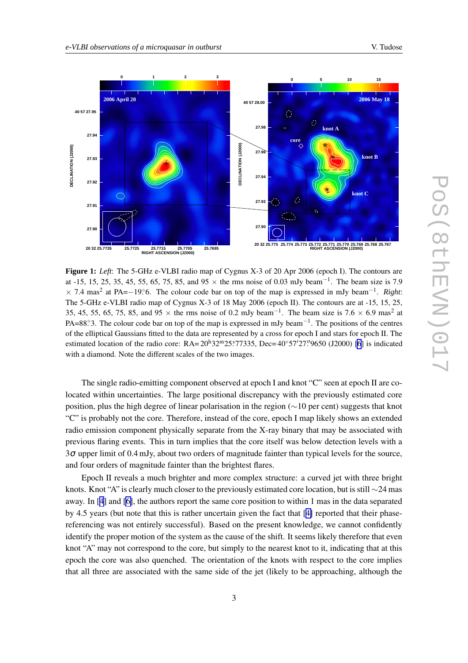

**Figure 1:** *Left*: The 5-GHz e-VLBI radio map of Cygnus X-3 of 20 Apr 2006 (epoch I). The contours are at -15, 15, 25, 35, 45, 55, 65, 75, 85, and  $95 \times$  the rms noise of 0.03 mJy beam<sup>-1</sup>. The beam size is 7.9  $\times$  7.4 mas<sup>2</sup> at PA=−19.°6. The colour code bar on top of the map is expressed in mJy beam<sup>-1</sup>. *Right*: The 5-GHz e-VLBI radio map of Cygnus X-3 of 18 May 2006 (epoch II). The contours are at -15, 15, 25, 35, 45, 55, 65, 75, 85, and 95  $\times$  the rms noise of 0.2 mJy beam<sup>-1</sup>. The beam size is 7.6  $\times$  6.9 mas<sup>2</sup> at PA=88. The colour code bar on top of the map is expressed in mJy beam<sup>-1</sup>. The positions of the centres of the elliptical Gaussians fitted to the data are represented by a cross for epoch I and stars for epoch II. The estimated location of the radio core:  $RA = 20<sup>h</sup>32<sup>m</sup>25<sup>s</sup>77335$ , Dec= $40°57'27''9650$  (J2000) [\[6](#page-4-0)] is indicated with a diamond. Note the different scales of the two images.

The single radio-emitting component observed at epoch I and knot "C" seen at epoch II are colocated within uncertainties. The large positional discrepancy with the previously estimated core position, plus the high degree of linear polarisation in the region (∼10 per cent) suggests that knot "C" is probably not the core. Therefore, instead of the core, epoch I map likely shows an extended radio emission component physically separate from the X-ray binary that may be associated with previous flaring events. This in turn implies that the core itself was below detection levels with a 3<sup>σ</sup> upper limit of 0.4 mJy, about two orders of magnitude fainter than typical levels for the source, and four orders of magnitude fainter than the brightest flares.

Epoch II reveals a much brighter and more complex structure: a curved jet with three bright knots. Knot "A" is clearly much closer to the previously estimated core location, but is still  $\sim$ 24 mas away. In [[4](#page-4-0)] and [\[6\]](#page-4-0), the authors report the same core position to within 1 mas in the data separated by 4.5 years (but note that this is rather uncertain given the fact that [[4\]](#page-4-0) reported that their phasereferencing was not entirely successful). Based on the present knowledge, we cannot confidently identify the proper motion of the system as the cause of the shift. It seems likely therefore that even knot "A" may not correspond to the core, but simply to the nearest knot to it, indicating that at this epoch the core was also quenched. The orientation of the knots with respect to the core implies that all three are associated with the same side of the jet (likely to be approaching, although the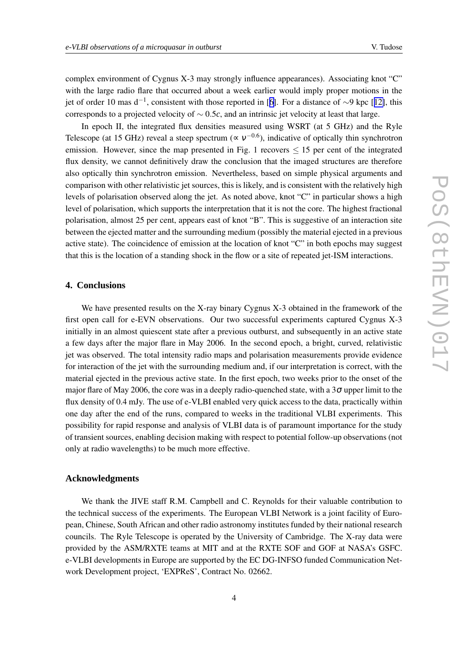complex environment of Cygnus X-3 may strongly influence appearances). Associating knot "C" with the large radio flare that occurred about a week earlier would imply proper motions in the jet of order 10 mas d<sup>-1</sup>, consistent with those reported in [[6\]](#page-4-0). For a distance of ∼9 kpc [[12\]](#page-4-0), this corresponds to a projected velocity of ∼ 0.5*c*, and an intrinsic jet velocity at least that large.

In epoch II, the integrated flux densities measured using WSRT (at 5 GHz) and the Ryle Telescope (at 15 GHz) reveal a steep spectrum ( $\propto v^{-0.6}$ ), indicative of optically thin synchrotron emission. However, since the map presented in Fig. 1 recovers  $\leq$  15 per cent of the integrated flux density, we cannot definitively draw the conclusion that the imaged structures are therefore also optically thin synchrotron emission. Nevertheless, based on simple physical arguments and comparison with other relativistic jet sources, this is likely, and is consistent with the relatively high levels of polarisation observed along the jet. As noted above, knot "C" in particular shows a high level of polarisation, which supports the interpretation that it is not the core. The highest fractional polarisation, almost 25 per cent, appears east of knot "B". This is suggestive of an interaction site between the ejected matter and the surrounding medium (possibly the material ejected in a previous active state). The coincidence of emission at the location of knot "C" in both epochs may suggest that this is the location of a standing shock in the flow or a site of repeated jet-ISM interactions.

#### **4. Conclusions**

We have presented results on the X-ray binary Cygnus X-3 obtained in the framework of the first open call for e-EVN observations. Our two successful experiments captured Cygnus X-3 initially in an almost quiescent state after a previous outburst, and subsequently in an active state a few days after the major flare in May 2006. In the second epoch, a bright, curved, relativistic jet was observed. The total intensity radio maps and polarisation measurements provide evidence for interaction of the jet with the surrounding medium and, if our interpretation is correct, with the material ejected in the previous active state. In the first epoch, two weeks prior to the onset of the major flare of May 2006, the core was in a deeply radio-quenched state, with a  $3\sigma$  upper limit to the flux density of 0.4 mJy. The use of e-VLBI enabled very quick access to the data, practically within one day after the end of the runs, compared to weeks in the traditional VLBI experiments. This possibility for rapid response and analysis of VLBI data is of paramount importance for the study of transient sources, enabling decision making with respect to potential follow-up observations (not only at radio wavelengths) to be much more effective.

### **Acknowledgments**

We thank the JIVE staff R.M. Campbell and C. Reynolds for their valuable contribution to the technical success of the experiments. The European VLBI Network is a joint facility of European, Chinese, South African and other radio astronomy institutes funded by their national research councils. The Ryle Telescope is operated by the University of Cambridge. The X-ray data were provided by the ASM/RXTE teams at MIT and at the RXTE SOF and GOF at NASA's GSFC. e-VLBI developments in Europe are supported by the EC DG-INFSO funded Communication Network Development project, 'EXPReS', Contract No. 02662.